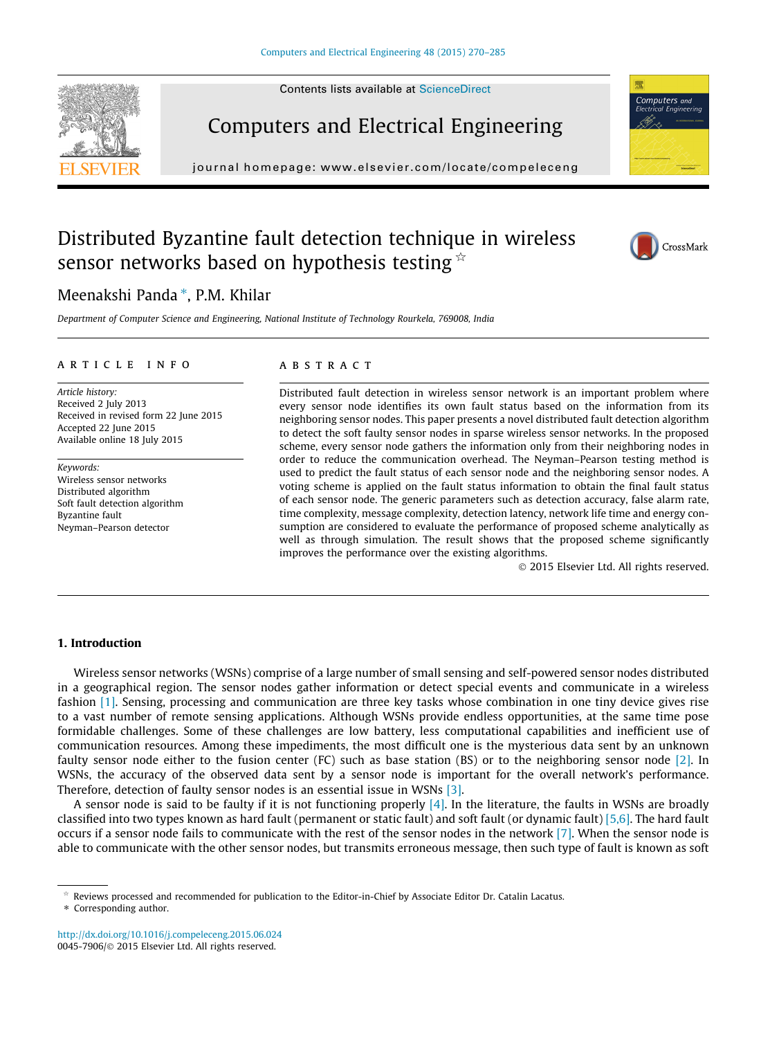Contents lists available at [ScienceDirect](http://www.sciencedirect.com/science/journal/00457906)





## Computers and Electrical Engineering

journal homepage: [www.elsevier.com/locate/compeleceng](http://www.elsevier.com/locate/compeleceng)

### Distributed Byzantine fault detection technique in wireless sensor networks based on hypothesis testing  $\dot{\alpha}$



### Meenakshi Panda \*, P.M. Khilar

Department of Computer Science and Engineering, National Institute of Technology Rourkela, 769008, India

#### article info

Article history: Received 2 July 2013 Received in revised form 22 June 2015 Accepted 22 June 2015 Available online 18 July 2015

Keywords: Wireless sensor networks Distributed algorithm Soft fault detection algorithm Byzantine fault Neyman–Pearson detector

#### **ABSTRACT**

Distributed fault detection in wireless sensor network is an important problem where every sensor node identifies its own fault status based on the information from its neighboring sensor nodes. This paper presents a novel distributed fault detection algorithm to detect the soft faulty sensor nodes in sparse wireless sensor networks. In the proposed scheme, every sensor node gathers the information only from their neighboring nodes in order to reduce the communication overhead. The Neyman–Pearson testing method is used to predict the fault status of each sensor node and the neighboring sensor nodes. A voting scheme is applied on the fault status information to obtain the final fault status of each sensor node. The generic parameters such as detection accuracy, false alarm rate, time complexity, message complexity, detection latency, network life time and energy consumption are considered to evaluate the performance of proposed scheme analytically as well as through simulation. The result shows that the proposed scheme significantly improves the performance over the existing algorithms.

- 2015 Elsevier Ltd. All rights reserved.

#### 1. Introduction

Wireless sensor networks (WSNs) comprise of a large number of small sensing and self-powered sensor nodes distributed in a geographical region. The sensor nodes gather information or detect special events and communicate in a wireless fashion [\[1\].](#page--1-0) Sensing, processing and communication are three key tasks whose combination in one tiny device gives rise to a vast number of remote sensing applications. Although WSNs provide endless opportunities, at the same time pose formidable challenges. Some of these challenges are low battery, less computational capabilities and inefficient use of communication resources. Among these impediments, the most difficult one is the mysterious data sent by an unknown faulty sensor node either to the fusion center (FC) such as base station (BS) or to the neighboring sensor node [\[2\]](#page--1-0). In WSNs, the accuracy of the observed data sent by a sensor node is important for the overall network's performance. Therefore, detection of faulty sensor nodes is an essential issue in WSNs [\[3\]](#page--1-0).

A sensor node is said to be faulty if it is not functioning properly  $[4]$ . In the literature, the faults in WSNs are broadly classified into two types known as hard fault (permanent or static fault) and soft fault (or dynamic fault) [\[5,6\].](#page--1-0) The hard fault occurs if a sensor node fails to communicate with the rest of the sensor nodes in the network [\[7\]](#page--1-0). When the sensor node is able to communicate with the other sensor nodes, but transmits erroneous message, then such type of fault is known as soft

Reviews processed and recommended for publication to the Editor-in-Chief by Associate Editor Dr. Catalin Lacatus.

<sup>⇑</sup> Corresponding author.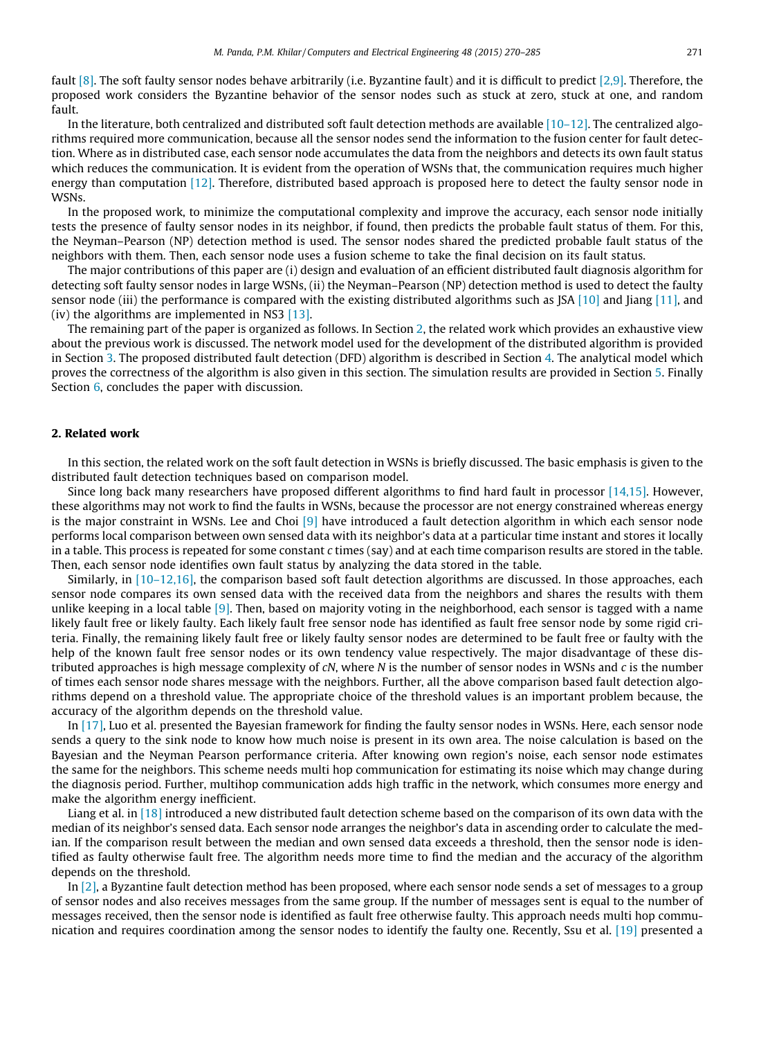fault  $[8]$ . The soft faulty sensor nodes behave arbitrarily (i.e. Byzantine fault) and it is difficult to predict  $[2,9]$ . Therefore, the proposed work considers the Byzantine behavior of the sensor nodes such as stuck at zero, stuck at one, and random fault.

In the literature, both centralized and distributed soft fault detection methods are available [\[10–12\].](#page--1-0) The centralized algorithms required more communication, because all the sensor nodes send the information to the fusion center for fault detection. Where as in distributed case, each sensor node accumulates the data from the neighbors and detects its own fault status which reduces the communication. It is evident from the operation of WSNs that, the communication requires much higher energy than computation [\[12\].](#page--1-0) Therefore, distributed based approach is proposed here to detect the faulty sensor node in WSNs.

In the proposed work, to minimize the computational complexity and improve the accuracy, each sensor node initially tests the presence of faulty sensor nodes in its neighbor, if found, then predicts the probable fault status of them. For this, the Neyman–Pearson (NP) detection method is used. The sensor nodes shared the predicted probable fault status of the neighbors with them. Then, each sensor node uses a fusion scheme to take the final decision on its fault status.

The major contributions of this paper are (i) design and evaluation of an efficient distributed fault diagnosis algorithm for detecting soft faulty sensor nodes in large WSNs, (ii) the Neyman–Pearson (NP) detection method is used to detect the faulty sensor node (iii) the performance is compared with the existing distributed algorithms such as [SA [\[10\]](#page--1-0) and Jiang [\[11\],](#page--1-0) and (iv) the algorithms are implemented in NS3  $[13]$ .

The remaining part of the paper is organized as follows. In Section 2, the related work which provides an exhaustive view about the previous work is discussed. The network model used for the development of the distributed algorithm is provided in Section [3](#page--1-0). The proposed distributed fault detection (DFD) algorithm is described in Section [4.](#page--1-0) The analytical model which proves the correctness of the algorithm is also given in this section. The simulation results are provided in Section [5.](#page--1-0) Finally Section [6,](#page--1-0) concludes the paper with discussion.

#### 2. Related work

In this section, the related work on the soft fault detection in WSNs is briefly discussed. The basic emphasis is given to the distributed fault detection techniques based on comparison model.

Since long back many researchers have proposed different algorithms to find hard fault in processor [\[14,15\].](#page--1-0) However, these algorithms may not work to find the faults in WSNs, because the processor are not energy constrained whereas energy is the major constraint in WSNs. Lee and Choi [\[9\]](#page--1-0) have introduced a fault detection algorithm in which each sensor node performs local comparison between own sensed data with its neighbor's data at a particular time instant and stores it locally in a table. This process is repeated for some constant  $c$  times (say) and at each time comparison results are stored in the table. Then, each sensor node identifies own fault status by analyzing the data stored in the table.

Similarly, in [\[10–12,16\]](#page--1-0), the comparison based soft fault detection algorithms are discussed. In those approaches, each sensor node compares its own sensed data with the received data from the neighbors and shares the results with them unlike keeping in a local table [\[9\]](#page--1-0). Then, based on majority voting in the neighborhood, each sensor is tagged with a name likely fault free or likely faulty. Each likely fault free sensor node has identified as fault free sensor node by some rigid criteria. Finally, the remaining likely fault free or likely faulty sensor nodes are determined to be fault free or faulty with the help of the known fault free sensor nodes or its own tendency value respectively. The major disadvantage of these distributed approaches is high message complexity of  $cN$ , where N is the number of sensor nodes in WSNs and  $c$  is the number of times each sensor node shares message with the neighbors. Further, all the above comparison based fault detection algorithms depend on a threshold value. The appropriate choice of the threshold values is an important problem because, the accuracy of the algorithm depends on the threshold value.

In [\[17\],](#page--1-0) Luo et al. presented the Bayesian framework for finding the faulty sensor nodes in WSNs. Here, each sensor node sends a query to the sink node to know how much noise is present in its own area. The noise calculation is based on the Bayesian and the Neyman Pearson performance criteria. After knowing own region's noise, each sensor node estimates the same for the neighbors. This scheme needs multi hop communication for estimating its noise which may change during the diagnosis period. Further, multihop communication adds high traffic in the network, which consumes more energy and make the algorithm energy inefficient.

Liang et al. in  $[18]$  introduced a new distributed fault detection scheme based on the comparison of its own data with the median of its neighbor's sensed data. Each sensor node arranges the neighbor's data in ascending order to calculate the median. If the comparison result between the median and own sensed data exceeds a threshold, then the sensor node is identified as faulty otherwise fault free. The algorithm needs more time to find the median and the accuracy of the algorithm depends on the threshold.

In  $[2]$ , a Byzantine fault detection method has been proposed, where each sensor node sends a set of messages to a group of sensor nodes and also receives messages from the same group. If the number of messages sent is equal to the number of messages received, then the sensor node is identified as fault free otherwise faulty. This approach needs multi hop communication and requires coordination among the sensor nodes to identify the faulty one. Recently, Ssu et al. [\[19\]](#page--1-0) presented a